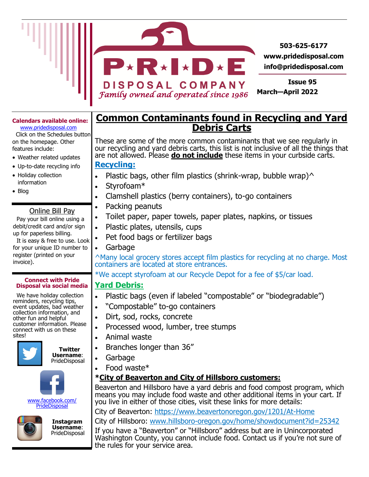

#### **Calendars available online:**

www.pridedisposal.com Click on the Schedules button on the homepage. Other features include:

- Weather related updates
- Up-to-date recycling info
- Holiday collection information
- Blog

#### Online Bill Pay

 Pay your bill online using a debit/credit card and/or sign up for paperless billing.

 It is easy & free to use. Look for your unique ID number to register (printed on your invoice).

#### **Connect with Pride Disposal via social media**

 We have holiday collection reminders, recycling tips, event updates, bad weather collection information, and other fun and helpful customer information. Please connect with us on these sites!





www.facebook.com/ **PrideDisposal** 



 **Instagram Username**: PrideDisposal

## **Common Contaminants found in Recycling and Yard Debris Carts**

These are some of the more common contaminants that we see regularly in our recycling and yard debris carts, this list is not inclusive of all the things that are not allowed. Please **do not include** these items in your curbside carts. **Recycling:**

- Plastic bags, other film plastics (shrink-wrap, bubble wrap) $\wedge$
- Styrofoam\*
- Clamshell plastics (berry containers), to-go containers
- Packing peanuts
	- Toilet paper, paper towels, paper plates, napkins, or tissues
- Plastic plates, utensils, cups
- Pet food bags or fertilizer bags
- Garbage

^Many local grocery stores accept film plastics for recycling at no charge. Most containers are located at store entrances.

\*We accept styrofoam at our Recycle Depot for a fee of \$5/car load.

### **Yard Debris:**

- Plastic bags (even if labeled "compostable" or "biodegradable")
- "Compostable" to-go containers
- Dirt, sod, rocks, concrete
- Processed wood, lumber, tree stumps
- Animal waste
- Branches longer than 36"
- Garbage
- Food waste\*

### **\*City of Beaverton and City of Hillsboro customers:**

Beaverton and Hillsboro have a yard debris and food compost program, which means you may include food waste and other additional items in your cart. If you live in either of those cities, visit these links for more details:

City of Beaverton: https://www.beavertonoregon.gov/1201/At-Home

City of Hillsboro: www.hillsboro-[oregon.gov/home/showdocument?id=25342](https://www.hillsboro-oregon.gov/home/showdocument?id=25342)

If you have a "Beaverton" or "Hillsboro" address but are in Unincorporated Washington County, you cannot include food. Contact us if you're not sure of the rules for your service area.